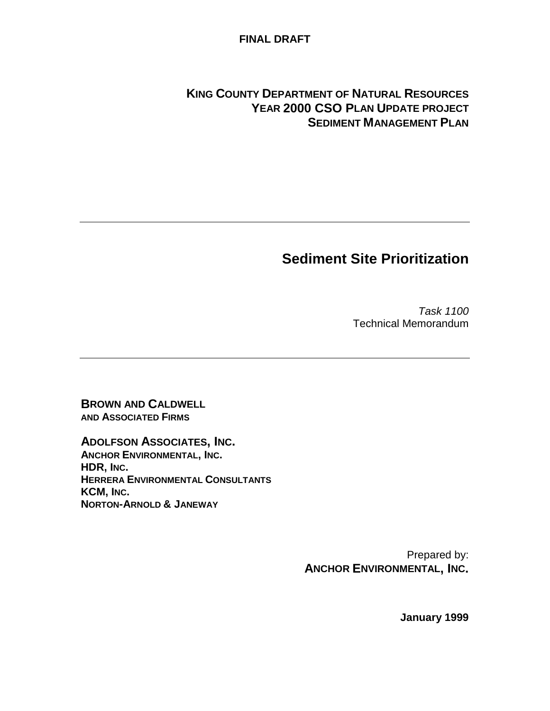#### **FINAL DRAFT**

### **KING COUNTY DEPARTMENT OF NATURAL RESOURCES YEAR 2000 CSO PLAN UPDATE PROJECT SEDIMENT MANAGEMENT PLAN**

# **Sediment Site Prioritization**

Task 1100 Technical Memorandum

**BROWN AND CALDWELL AND ASSOCIATED FIRMS**

**ADOLFSON ASSOCIATES, INC. ANCHOR ENVIRONMENTAL, INC. HDR, INC. HERRERA ENVIRONMENTAL CONSULTANTS KCM, INC. NORTON-ARNOLD & JANEWAY**

> Prepared by: **ANCHOR ENVIRONMENTAL, INC.**

> > **January 1999**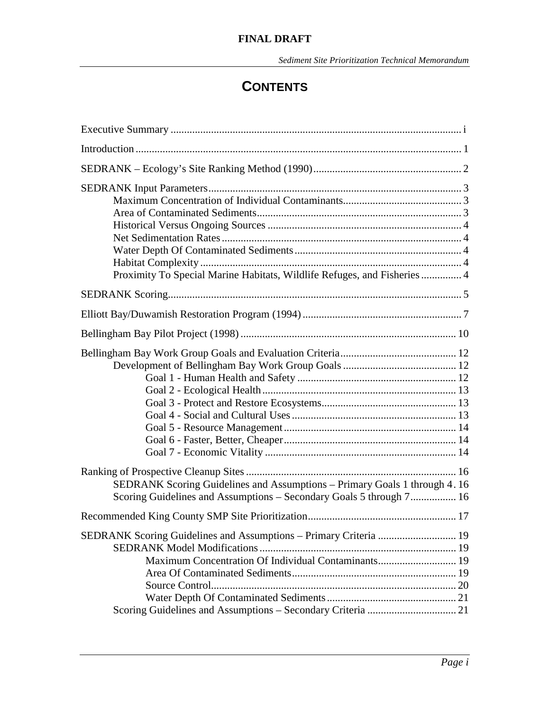# **CONTENTS**

| Proximity To Special Marine Habitats, Wildlife Refuges, and Fisheries  4                                                                         |
|--------------------------------------------------------------------------------------------------------------------------------------------------|
|                                                                                                                                                  |
|                                                                                                                                                  |
|                                                                                                                                                  |
|                                                                                                                                                  |
| SEDRANK Scoring Guidelines and Assumptions – Primary Goals 1 through 4.16<br>Scoring Guidelines and Assumptions - Secondary Goals 5 through 7 16 |
|                                                                                                                                                  |
| Maximum Concentration Of Individual Contaminants 19                                                                                              |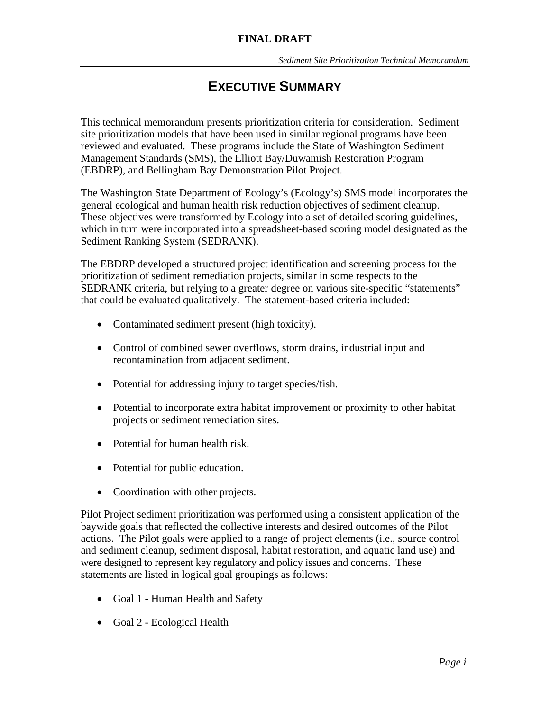# **EXECUTIVE SUMMARY**

This technical memorandum presents prioritization criteria for consideration. Sediment site prioritization models that have been used in similar regional programs have been reviewed and evaluated. These programs include the State of Washington Sediment Management Standards (SMS), the Elliott Bay/Duwamish Restoration Program (EBDRP), and Bellingham Bay Demonstration Pilot Project.

The Washington State Department of Ecology's (Ecology's) SMS model incorporates the general ecological and human health risk reduction objectives of sediment cleanup. These objectives were transformed by Ecology into a set of detailed scoring guidelines, which in turn were incorporated into a spreadsheet-based scoring model designated as the Sediment Ranking System (SEDRANK).

The EBDRP developed a structured project identification and screening process for the prioritization of sediment remediation projects, similar in some respects to the SEDRANK criteria, but relying to a greater degree on various site-specific "statements" that could be evaluated qualitatively. The statement-based criteria included:

- Contaminated sediment present (high toxicity).
- Control of combined sewer overflows, storm drains, industrial input and recontamination from adjacent sediment.
- Potential for addressing injury to target species/fish.
- Potential to incorporate extra habitat improvement or proximity to other habitat projects or sediment remediation sites.
- Potential for human health risk.
- Potential for public education.
- Coordination with other projects.

Pilot Project sediment prioritization was performed using a consistent application of the baywide goals that reflected the collective interests and desired outcomes of the Pilot actions. The Pilot goals were applied to a range of project elements (i.e., source control and sediment cleanup, sediment disposal, habitat restoration, and aquatic land use) and were designed to represent key regulatory and policy issues and concerns. These statements are listed in logical goal groupings as follows:

- Goal 1 Human Health and Safety
- Goal 2 Ecological Health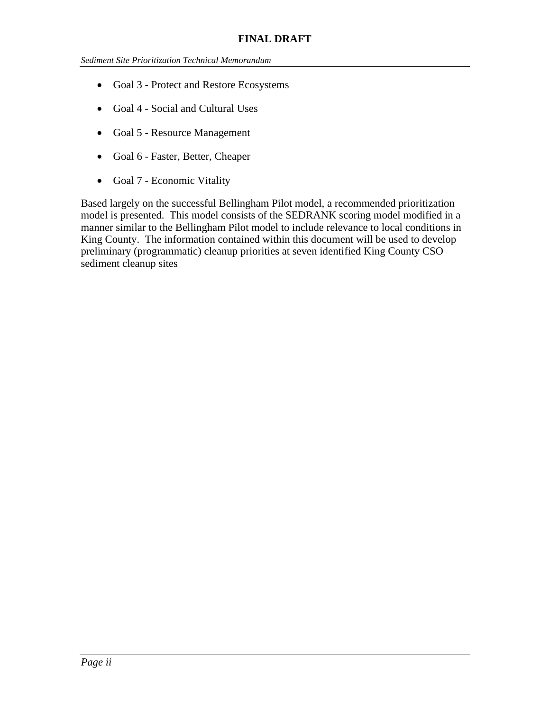- Goal 3 Protect and Restore Ecosystems
- Goal 4 Social and Cultural Uses
- Goal 5 Resource Management
- Goal 6 Faster, Better, Cheaper
- Goal 7 Economic Vitality

Based largely on the successful Bellingham Pilot model, a recommended prioritization model is presented. This model consists of the SEDRANK scoring model modified in a manner similar to the Bellingham Pilot model to include relevance to local conditions in King County. The information contained within this document will be used to develop preliminary (programmatic) cleanup priorities at seven identified King County CSO sediment cleanup sites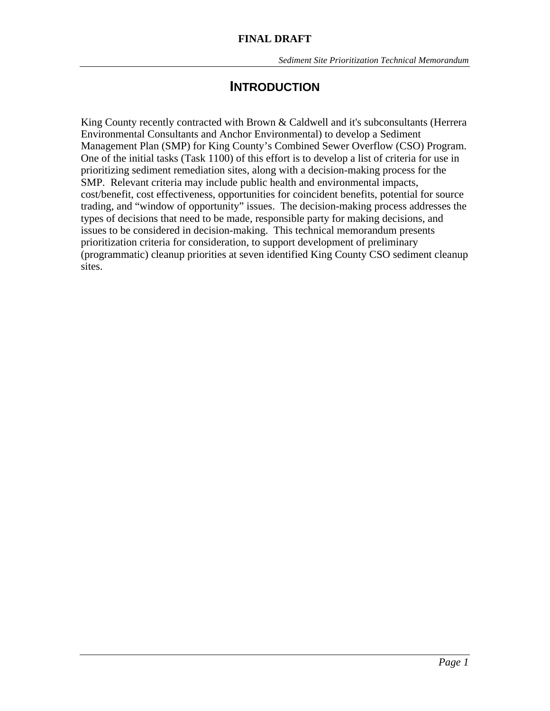# **INTRODUCTION**

King County recently contracted with Brown & Caldwell and it's subconsultants (Herrera Environmental Consultants and Anchor Environmental) to develop a Sediment Management Plan (SMP) for King County's Combined Sewer Overflow (CSO) Program. One of the initial tasks (Task 1100) of this effort is to develop a list of criteria for use in prioritizing sediment remediation sites, along with a decision-making process for the SMP. Relevant criteria may include public health and environmental impacts, cost/benefit, cost effectiveness, opportunities for coincident benefits, potential for source trading, and "window of opportunity" issues. The decision-making process addresses the types of decisions that need to be made, responsible party for making decisions, and issues to be considered in decision-making. This technical memorandum presents prioritization criteria for consideration, to support development of preliminary (programmatic) cleanup priorities at seven identified King County CSO sediment cleanup sites.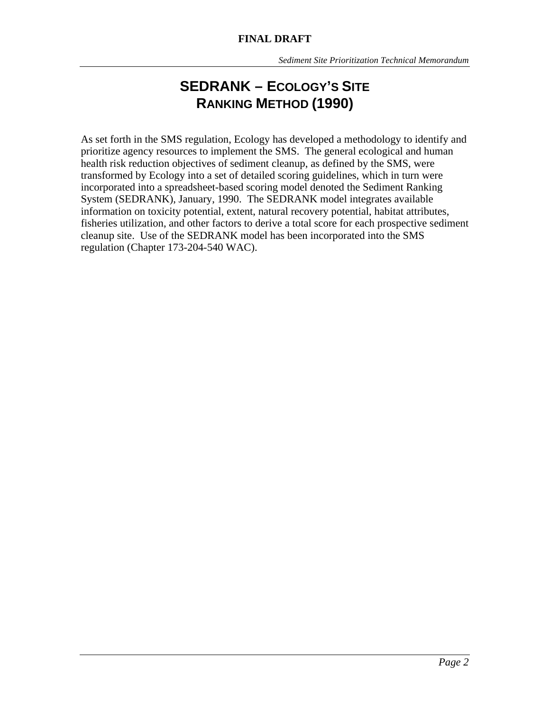# **SEDRANK – ECOLOGY'S SITE RANKING METHOD (1990)**

As set forth in the SMS regulation, Ecology has developed a methodology to identify and prioritize agency resources to implement the SMS. The general ecological and human health risk reduction objectives of sediment cleanup, as defined by the SMS, were transformed by Ecology into a set of detailed scoring guidelines, which in turn were incorporated into a spreadsheet-based scoring model denoted the Sediment Ranking System (SEDRANK), January, 1990. The SEDRANK model integrates available information on toxicity potential, extent, natural recovery potential, habitat attributes, fisheries utilization, and other factors to derive a total score for each prospective sediment cleanup site. Use of the SEDRANK model has been incorporated into the SMS regulation (Chapter 173-204-540 WAC).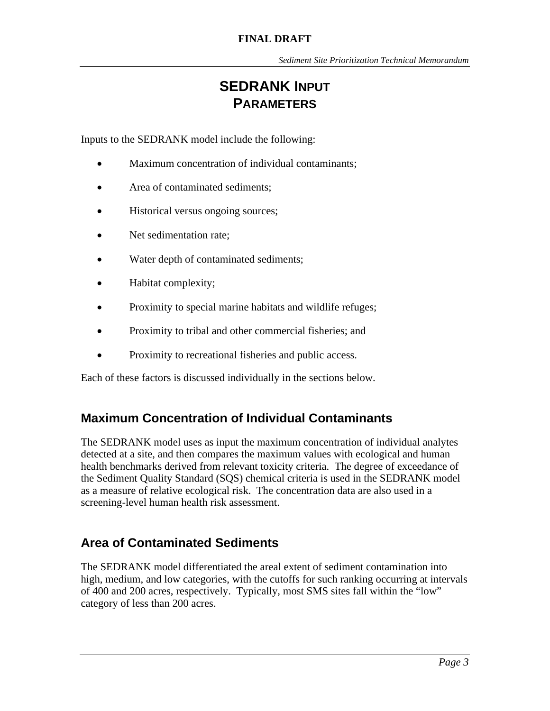# **SEDRANK INPUT PARAMETERS**

Inputs to the SEDRANK model include the following:

- Maximum concentration of individual contaminants;
- Area of contaminated sediments;
- Historical versus ongoing sources;
- Net sedimentation rate;
- Water depth of contaminated sediments;
- Habitat complexity;
- Proximity to special marine habitats and wildlife refuges;
- Proximity to tribal and other commercial fisheries; and
- Proximity to recreational fisheries and public access.

Each of these factors is discussed individually in the sections below.

### **Maximum Concentration of Individual Contaminants**

The SEDRANK model uses as input the maximum concentration of individual analytes detected at a site, and then compares the maximum values with ecological and human health benchmarks derived from relevant toxicity criteria. The degree of exceedance of the Sediment Quality Standard (SQS) chemical criteria is used in the SEDRANK model as a measure of relative ecological risk. The concentration data are also used in a screening-level human health risk assessment.

### **Area of Contaminated Sediments**

The SEDRANK model differentiated the areal extent of sediment contamination into high, medium, and low categories, with the cutoffs for such ranking occurring at intervals of 400 and 200 acres, respectively. Typically, most SMS sites fall within the "low" category of less than 200 acres.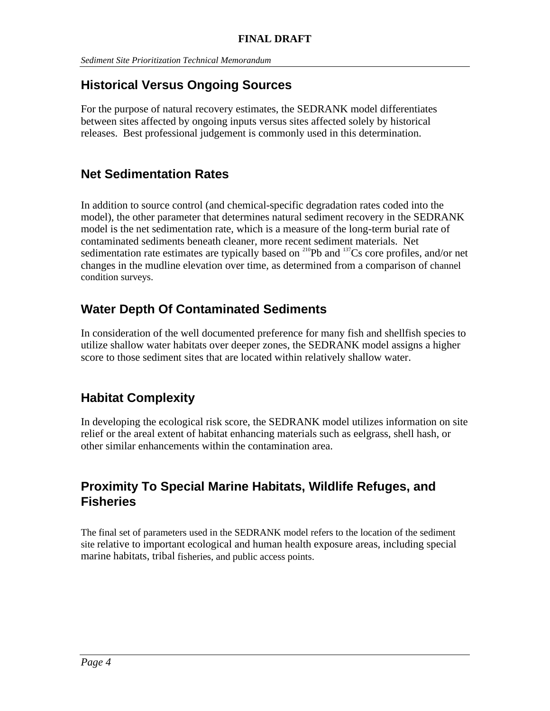# **Historical Versus Ongoing Sources**

For the purpose of natural recovery estimates, the SEDRANK model differentiates between sites affected by ongoing inputs versus sites affected solely by historical releases. Best professional judgement is commonly used in this determination.

### **Net Sedimentation Rates**

In addition to source control (and chemical-specific degradation rates coded into the model), the other parameter that determines natural sediment recovery in the SEDRANK model is the net sedimentation rate, which is a measure of the long-term burial rate of contaminated sediments beneath cleaner, more recent sediment materials. Net sedimentation rate estimates are typically based on  $^{210}Pb$  and  $^{137}Cs$  core profiles, and/or net changes in the mudline elevation over time, as determined from a comparison of channel condition surveys.

# **Water Depth Of Contaminated Sediments**

In consideration of the well documented preference for many fish and shellfish species to utilize shallow water habitats over deeper zones, the SEDRANK model assigns a higher score to those sediment sites that are located within relatively shallow water.

# **Habitat Complexity**

In developing the ecological risk score, the SEDRANK model utilizes information on site relief or the areal extent of habitat enhancing materials such as eelgrass, shell hash, or other similar enhancements within the contamination area.

### **Proximity To Special Marine Habitats, Wildlife Refuges, and Fisheries**

The final set of parameters used in the SEDRANK model refers to the location of the sediment site relative to important ecological and human health exposure areas, including special marine habitats, tribal fisheries, and public access points.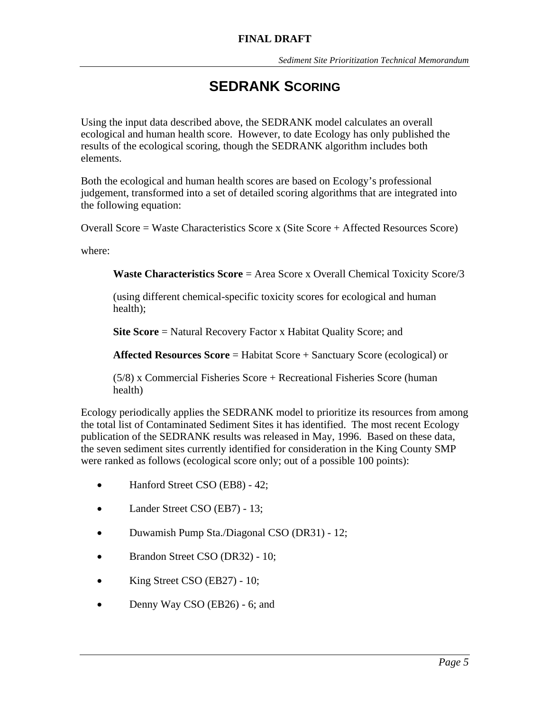# **SEDRANK SCORING**

Using the input data described above, the SEDRANK model calculates an overall ecological and human health score. However, to date Ecology has only published the results of the ecological scoring, though the SEDRANK algorithm includes both elements.

Both the ecological and human health scores are based on Ecology's professional judgement, transformed into a set of detailed scoring algorithms that are integrated into the following equation:

Overall Score = Waste Characteristics Score x (Site Score + Affected Resources Score)

where:

**Waste Characteristics Score** = Area Score x Overall Chemical Toxicity Score/3

(using different chemical-specific toxicity scores for ecological and human health);

**Site Score** = Natural Recovery Factor x Habitat Quality Score; and

**Affected Resources Score** = Habitat Score + Sanctuary Score (ecological) or

(5/8) x Commercial Fisheries Score + Recreational Fisheries Score (human health)

Ecology periodically applies the SEDRANK model to prioritize its resources from among the total list of Contaminated Sediment Sites it has identified. The most recent Ecology publication of the SEDRANK results was released in May, 1996. Based on these data, the seven sediment sites currently identified for consideration in the King County SMP were ranked as follows (ecological score only; out of a possible 100 points):

- Hanford Street CSO (EB8) 42;
- Lander Street CSO (EB7) 13;
- Duwamish Pump Sta./Diagonal CSO (DR31) 12;
- Brandon Street CSO (DR32) 10;
- King Street CSO (EB27) 10;
- Denny Way CSO (EB26) 6; and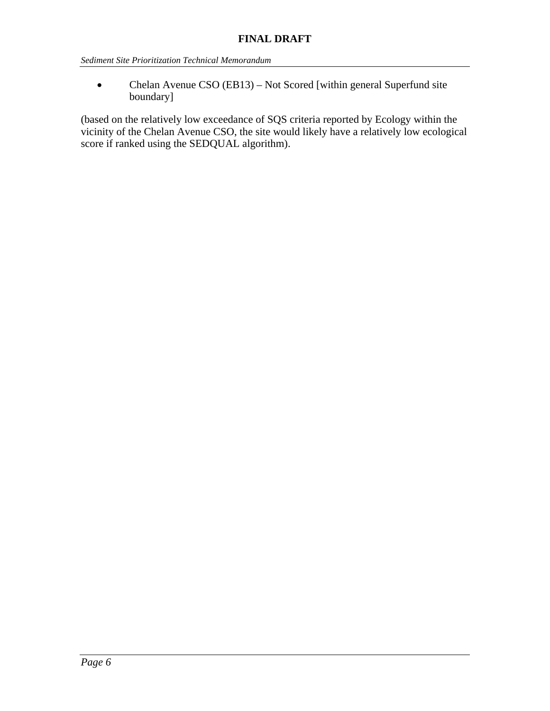• Chelan Avenue CSO (EB13) – Not Scored [within general Superfund site boundary]

(based on the relatively low exceedance of SQS criteria reported by Ecology within the vicinity of the Chelan Avenue CSO, the site would likely have a relatively low ecological score if ranked using the SEDQUAL algorithm).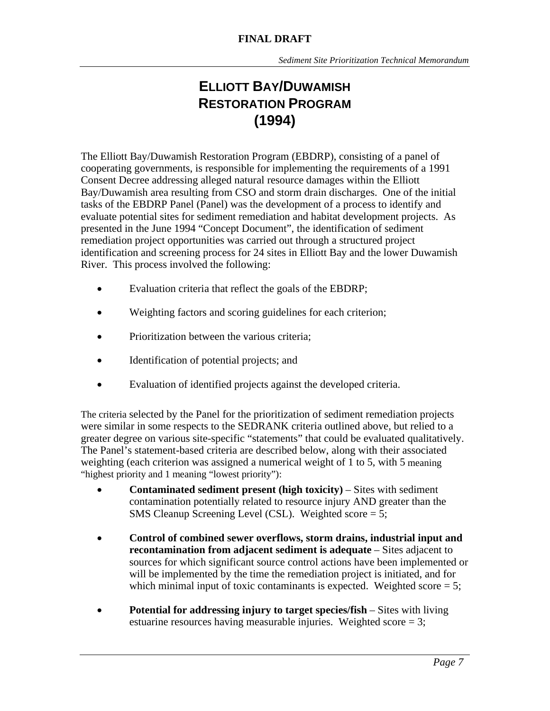# **ELLIOTT BAY/DUWAMISH RESTORATION PROGRAM (1994)**

The Elliott Bay/Duwamish Restoration Program (EBDRP), consisting of a panel of cooperating governments, is responsible for implementing the requirements of a 1991 Consent Decree addressing alleged natural resource damages within the Elliott Bay/Duwamish area resulting from CSO and storm drain discharges. One of the initial tasks of the EBDRP Panel (Panel) was the development of a process to identify and evaluate potential sites for sediment remediation and habitat development projects. As presented in the June 1994 "Concept Document", the identification of sediment remediation project opportunities was carried out through a structured project identification and screening process for 24 sites in Elliott Bay and the lower Duwamish River. This process involved the following:

- Evaluation criteria that reflect the goals of the EBDRP;
- Weighting factors and scoring guidelines for each criterion;
- Prioritization between the various criteria;
- Identification of potential projects; and
- Evaluation of identified projects against the developed criteria.

The criteria selected by the Panel for the prioritization of sediment remediation projects were similar in some respects to the SEDRANK criteria outlined above, but relied to a greater degree on various site-specific "statements" that could be evaluated qualitatively. The Panel's statement-based criteria are described below, along with their associated weighting (each criterion was assigned a numerical weight of 1 to 5, with 5 meaning "highest priority and 1 meaning "lowest priority"):

- **Contaminated sediment present (high toxicity)** Sites with sediment contamination potentially related to resource injury AND greater than the SMS Cleanup Screening Level (CSL). Weighted score = 5;
- **Control of combined sewer overflows, storm drains, industrial input and recontamination from adjacent sediment is adequate** – Sites adjacent to sources for which significant source control actions have been implemented or will be implemented by the time the remediation project is initiated, and for which minimal input of toxic contaminants is expected. Weighted score  $= 5$ ;
- **Potential for addressing injury to target species/fish** Sites with living estuarine resources having measurable injuries. Weighted score = 3;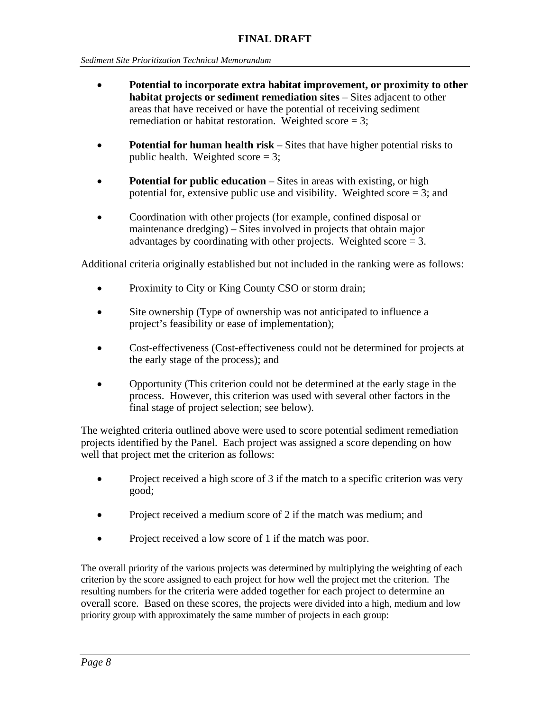- **Potential to incorporate extra habitat improvement, or proximity to other habitat projects or sediment remediation sites** – Sites adjacent to other areas that have received or have the potential of receiving sediment remediation or habitat restoration. Weighted score  $= 3$ :
- **Potential for human health risk** Sites that have higher potential risks to public health. Weighted score  $= 3$ ;
- **Potential for public education** Sites in areas with existing, or high potential for, extensive public use and visibility. Weighted score  $= 3$ ; and
- Coordination with other projects (for example, confined disposal or maintenance dredging) – Sites involved in projects that obtain major advantages by coordinating with other projects. Weighted score  $= 3$ .

Additional criteria originally established but not included in the ranking were as follows:

- Proximity to City or King County CSO or storm drain;
- Site ownership (Type of ownership was not anticipated to influence a project's feasibility or ease of implementation);
- Cost-effectiveness (Cost-effectiveness could not be determined for projects at the early stage of the process); and
- Opportunity (This criterion could not be determined at the early stage in the process. However, this criterion was used with several other factors in the final stage of project selection; see below).

The weighted criteria outlined above were used to score potential sediment remediation projects identified by the Panel. Each project was assigned a score depending on how well that project met the criterion as follows:

- Project received a high score of 3 if the match to a specific criterion was very good;
- Project received a medium score of 2 if the match was medium; and
- Project received a low score of 1 if the match was poor.

The overall priority of the various projects was determined by multiplying the weighting of each criterion by the score assigned to each project for how well the project met the criterion. The resulting numbers for the criteria were added together for each project to determine an overall score. Based on these scores, the projects were divided into a high, medium and low priority group with approximately the same number of projects in each group: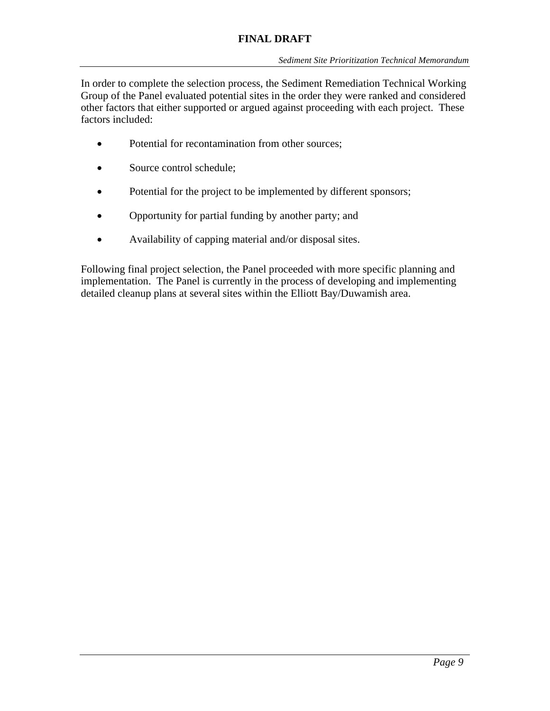#### **FINAL DRAFT**

In order to complete the selection process, the Sediment Remediation Technical Working Group of the Panel evaluated potential sites in the order they were ranked and considered other factors that either supported or argued against proceeding with each project. These factors included:

- Potential for recontamination from other sources;
- Source control schedule;
- Potential for the project to be implemented by different sponsors;
- Opportunity for partial funding by another party; and
- Availability of capping material and/or disposal sites.

Following final project selection, the Panel proceeded with more specific planning and implementation. The Panel is currently in the process of developing and implementing detailed cleanup plans at several sites within the Elliott Bay/Duwamish area.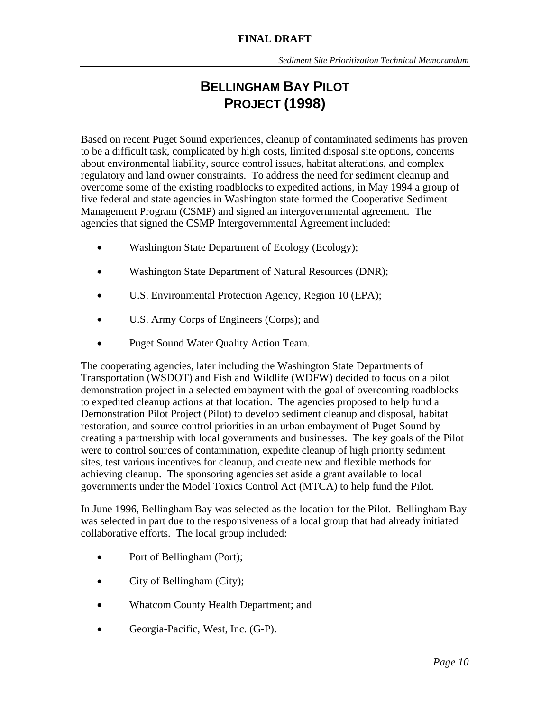# **BELLINGHAM BAY PILOT PROJECT (1998)**

Based on recent Puget Sound experiences, cleanup of contaminated sediments has proven to be a difficult task, complicated by high costs, limited disposal site options, concerns about environmental liability, source control issues, habitat alterations, and complex regulatory and land owner constraints. To address the need for sediment cleanup and overcome some of the existing roadblocks to expedited actions, in May 1994 a group of five federal and state agencies in Washington state formed the Cooperative Sediment Management Program (CSMP) and signed an intergovernmental agreement. The agencies that signed the CSMP Intergovernmental Agreement included:

- Washington State Department of Ecology (Ecology);
- Washington State Department of Natural Resources (DNR);
- U.S. Environmental Protection Agency, Region 10 (EPA);
- U.S. Army Corps of Engineers (Corps); and
- Puget Sound Water Quality Action Team.

The cooperating agencies, later including the Washington State Departments of Transportation (WSDOT) and Fish and Wildlife (WDFW) decided to focus on a pilot demonstration project in a selected embayment with the goal of overcoming roadblocks to expedited cleanup actions at that location. The agencies proposed to help fund a Demonstration Pilot Project (Pilot) to develop sediment cleanup and disposal, habitat restoration, and source control priorities in an urban embayment of Puget Sound by creating a partnership with local governments and businesses. The key goals of the Pilot were to control sources of contamination, expedite cleanup of high priority sediment sites, test various incentives for cleanup, and create new and flexible methods for achieving cleanup. The sponsoring agencies set aside a grant available to local governments under the Model Toxics Control Act (MTCA) to help fund the Pilot.

In June 1996, Bellingham Bay was selected as the location for the Pilot. Bellingham Bay was selected in part due to the responsiveness of a local group that had already initiated collaborative efforts. The local group included:

- Port of Bellingham (Port);
- City of Bellingham (City);
- Whatcom County Health Department; and
- Georgia-Pacific, West, Inc. (G-P).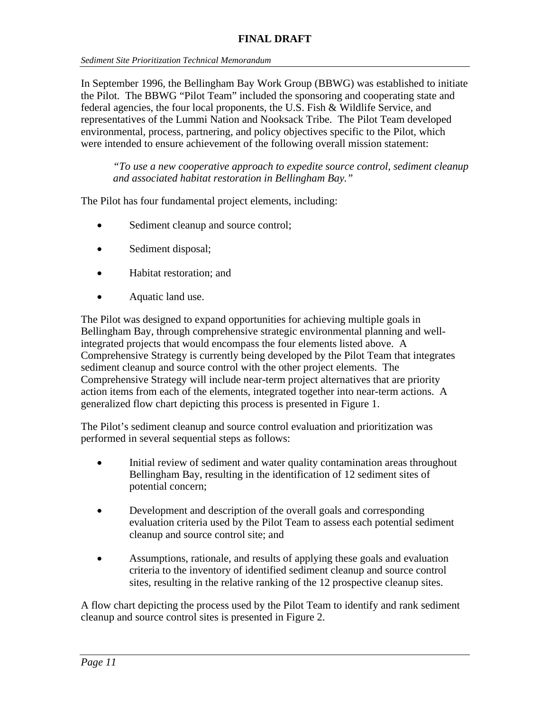In September 1996, the Bellingham Bay Work Group (BBWG) was established to initiate the Pilot. The BBWG "Pilot Team" included the sponsoring and cooperating state and federal agencies, the four local proponents, the U.S. Fish & Wildlife Service, and representatives of the Lummi Nation and Nooksack Tribe. The Pilot Team developed environmental, process, partnering, and policy objectives specific to the Pilot, which were intended to ensure achievement of the following overall mission statement:

*"To use a new cooperative approach to expedite source control, sediment cleanup and associated habitat restoration in Bellingham Bay."*

The Pilot has four fundamental project elements, including:

- Sediment cleanup and source control;
- Sediment disposal;
- Habitat restoration; and
- Aquatic land use.

The Pilot was designed to expand opportunities for achieving multiple goals in Bellingham Bay, through comprehensive strategic environmental planning and wellintegrated projects that would encompass the four elements listed above. A Comprehensive Strategy is currently being developed by the Pilot Team that integrates sediment cleanup and source control with the other project elements. The Comprehensive Strategy will include near-term project alternatives that are priority action items from each of the elements, integrated together into near-term actions. A generalized flow chart depicting this process is presented in Figure 1.

The Pilot's sediment cleanup and source control evaluation and prioritization was performed in several sequential steps as follows:

- Initial review of sediment and water quality contamination areas throughout Bellingham Bay, resulting in the identification of 12 sediment sites of potential concern;
- Development and description of the overall goals and corresponding evaluation criteria used by the Pilot Team to assess each potential sediment cleanup and source control site; and
- Assumptions, rationale, and results of applying these goals and evaluation criteria to the inventory of identified sediment cleanup and source control sites, resulting in the relative ranking of the 12 prospective cleanup sites.

A flow chart depicting the process used by the Pilot Team to identify and rank sediment cleanup and source control sites is presented in Figure 2.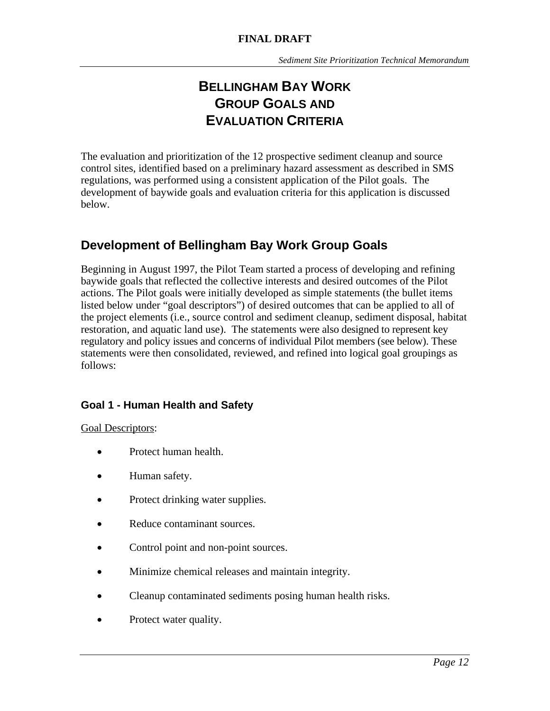# **BELLINGHAM BAY WORK GROUP GOALS AND EVALUATION CRITERIA**

The evaluation and prioritization of the 12 prospective sediment cleanup and source control sites, identified based on a preliminary hazard assessment as described in SMS regulations, was performed using a consistent application of the Pilot goals. The development of baywide goals and evaluation criteria for this application is discussed below.

# **Development of Bellingham Bay Work Group Goals**

Beginning in August 1997, the Pilot Team started a process of developing and refining baywide goals that reflected the collective interests and desired outcomes of the Pilot actions. The Pilot goals were initially developed as simple statements (the bullet items listed below under "goal descriptors") of desired outcomes that can be applied to all of the project elements (i.e., source control and sediment cleanup, sediment disposal, habitat restoration, and aquatic land use). The statements were also designed to represent key regulatory and policy issues and concerns of individual Pilot members (see below). These statements were then consolidated, reviewed, and refined into logical goal groupings as follows:

### **Goal 1 - Human Health and Safety**

#### Goal Descriptors:

- Protect human health.
- Human safety.
- Protect drinking water supplies.
- Reduce contaminant sources.
- Control point and non-point sources.
- Minimize chemical releases and maintain integrity.
- Cleanup contaminated sediments posing human health risks.
- Protect water quality.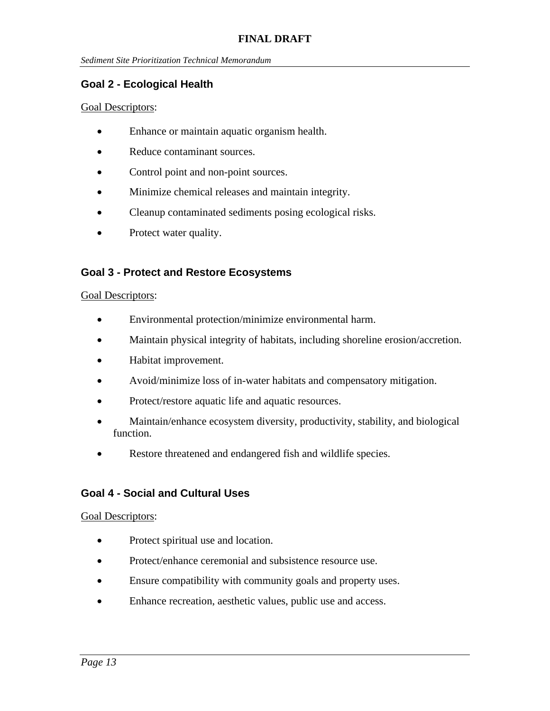#### **Goal 2 - Ecological Health**

#### Goal Descriptors:

- Enhance or maintain aquatic organism health.
- Reduce contaminant sources.
- Control point and non-point sources.
- Minimize chemical releases and maintain integrity.
- Cleanup contaminated sediments posing ecological risks.
- Protect water quality.

#### **Goal 3 - Protect and Restore Ecosystems**

#### Goal Descriptors:

- Environmental protection/minimize environmental harm.
- Maintain physical integrity of habitats, including shoreline erosion/accretion.
- Habitat improvement.
- Avoid/minimize loss of in-water habitats and compensatory mitigation.
- Protect/restore aquatic life and aquatic resources.
- Maintain/enhance ecosystem diversity, productivity, stability, and biological function.
- Restore threatened and endangered fish and wildlife species.

#### **Goal 4 - Social and Cultural Uses**

#### Goal Descriptors:

- Protect spiritual use and location.
- Protect/enhance ceremonial and subsistence resource use.
- Ensure compatibility with community goals and property uses.
- Enhance recreation, aesthetic values, public use and access.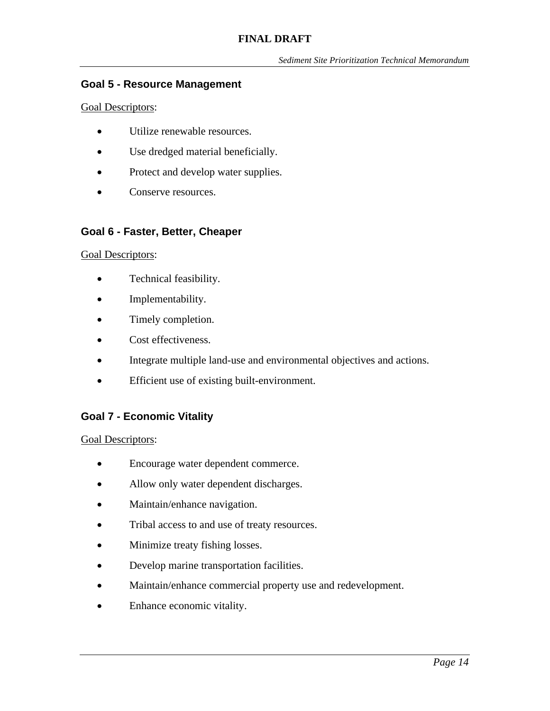#### **Goal 5 - Resource Management**

#### Goal Descriptors:

- Utilize renewable resources.
- Use dredged material beneficially.
- Protect and develop water supplies.
- Conserve resources.

#### **Goal 6 - Faster, Better, Cheaper**

#### Goal Descriptors:

- Technical feasibility.
- Implementability.
- Timely completion.
- Cost effectiveness.
- Integrate multiple land-use and environmental objectives and actions.
- Efficient use of existing built-environment.

### **Goal 7 - Economic Vitality**

Goal Descriptors:

- Encourage water dependent commerce.
- Allow only water dependent discharges.
- Maintain/enhance navigation.
- Tribal access to and use of treaty resources.
- Minimize treaty fishing losses.
- Develop marine transportation facilities.
- Maintain/enhance commercial property use and redevelopment.
- Enhance economic vitality.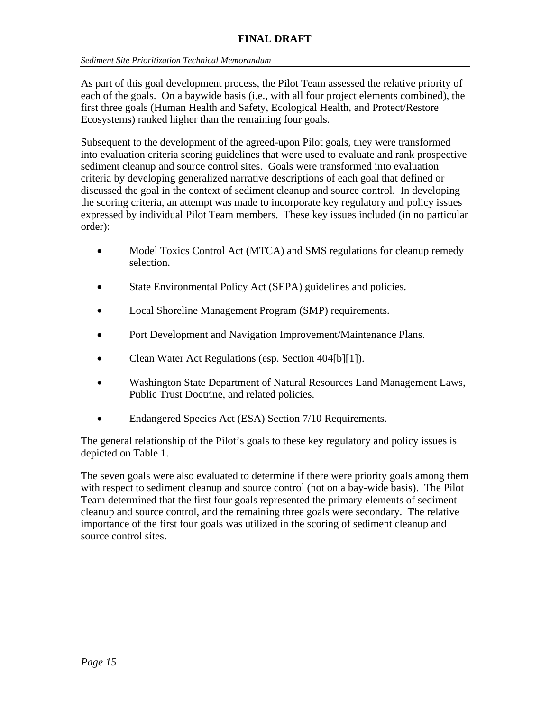As part of this goal development process, the Pilot Team assessed the relative priority of each of the goals. On a baywide basis (i.e., with all four project elements combined), the first three goals (Human Health and Safety, Ecological Health, and Protect/Restore Ecosystems) ranked higher than the remaining four goals.

Subsequent to the development of the agreed-upon Pilot goals, they were transformed into evaluation criteria scoring guidelines that were used to evaluate and rank prospective sediment cleanup and source control sites. Goals were transformed into evaluation criteria by developing generalized narrative descriptions of each goal that defined or discussed the goal in the context of sediment cleanup and source control. In developing the scoring criteria, an attempt was made to incorporate key regulatory and policy issues expressed by individual Pilot Team members. These key issues included (in no particular order):

- Model Toxics Control Act (MTCA) and SMS regulations for cleanup remedy selection.
- State Environmental Policy Act (SEPA) guidelines and policies.
- Local Shoreline Management Program (SMP) requirements.
- Port Development and Navigation Improvement/Maintenance Plans.
- Clean Water Act Regulations (esp. Section 404[b][1]).
- Washington State Department of Natural Resources Land Management Laws, Public Trust Doctrine, and related policies.
- Endangered Species Act (ESA) Section 7/10 Requirements.

The general relationship of the Pilot's goals to these key regulatory and policy issues is depicted on Table 1.

The seven goals were also evaluated to determine if there were priority goals among them with respect to sediment cleanup and source control (not on a bay-wide basis). The Pilot Team determined that the first four goals represented the primary elements of sediment cleanup and source control, and the remaining three goals were secondary. The relative importance of the first four goals was utilized in the scoring of sediment cleanup and source control sites.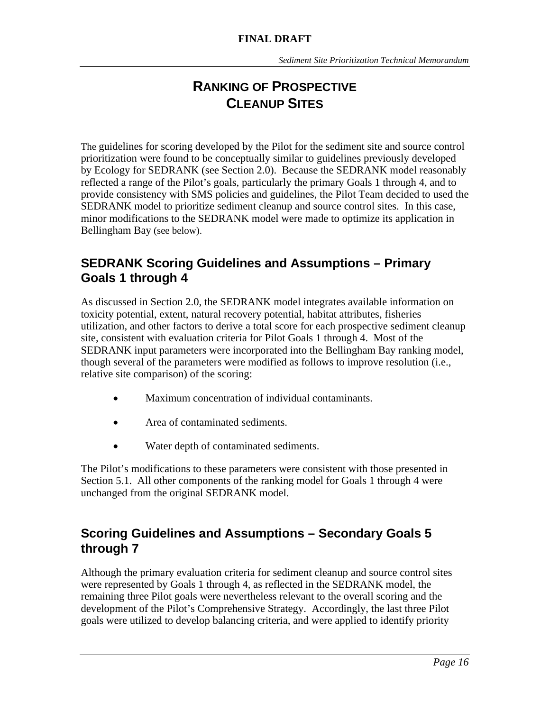# **RANKING OF PROSPECTIVE CLEANUP SITES**

The guidelines for scoring developed by the Pilot for the sediment site and source control prioritization were found to be conceptually similar to guidelines previously developed by Ecology for SEDRANK (see Section 2.0). Because the SEDRANK model reasonably reflected a range of the Pilot's goals, particularly the primary Goals 1 through 4, and to provide consistency with SMS policies and guidelines, the Pilot Team decided to used the SEDRANK model to prioritize sediment cleanup and source control sites. In this case, minor modifications to the SEDRANK model were made to optimize its application in Bellingham Bay (see below).

# **SEDRANK Scoring Guidelines and Assumptions – Primary Goals 1 through 4**

As discussed in Section 2.0, the SEDRANK model integrates available information on toxicity potential, extent, natural recovery potential, habitat attributes, fisheries utilization, and other factors to derive a total score for each prospective sediment cleanup site, consistent with evaluation criteria for Pilot Goals 1 through 4. Most of the SEDRANK input parameters were incorporated into the Bellingham Bay ranking model, though several of the parameters were modified as follows to improve resolution (i.e., relative site comparison) of the scoring:

- Maximum concentration of individual contaminants.
- Area of contaminated sediments.
- Water depth of contaminated sediments.

The Pilot's modifications to these parameters were consistent with those presented in Section 5.1. All other components of the ranking model for Goals 1 through 4 were unchanged from the original SEDRANK model.

# **Scoring Guidelines and Assumptions – Secondary Goals 5 through 7**

Although the primary evaluation criteria for sediment cleanup and source control sites were represented by Goals 1 through 4, as reflected in the SEDRANK model, the remaining three Pilot goals were nevertheless relevant to the overall scoring and the development of the Pilot's Comprehensive Strategy. Accordingly, the last three Pilot goals were utilized to develop balancing criteria, and were applied to identify priority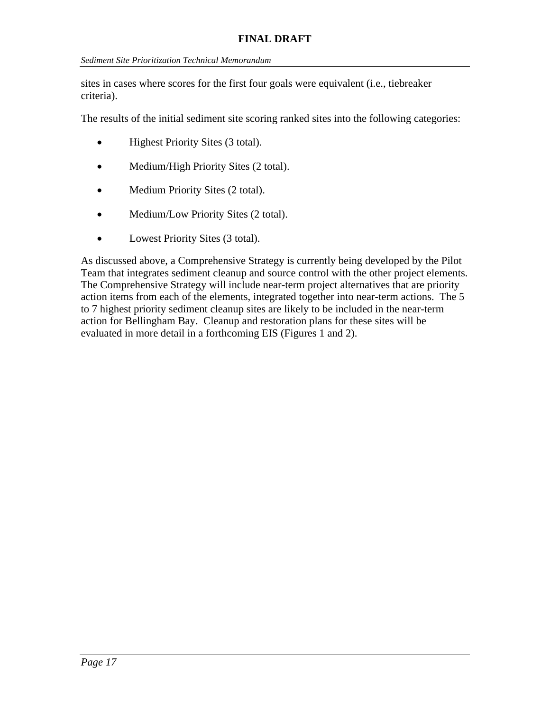sites in cases where scores for the first four goals were equivalent (i.e., tiebreaker criteria).

The results of the initial sediment site scoring ranked sites into the following categories:

- Highest Priority Sites (3 total).
- Medium/High Priority Sites (2 total).
- Medium Priority Sites (2 total).
- Medium/Low Priority Sites (2 total).
- Lowest Priority Sites (3 total).

As discussed above, a Comprehensive Strategy is currently being developed by the Pilot Team that integrates sediment cleanup and source control with the other project elements. The Comprehensive Strategy will include near-term project alternatives that are priority action items from each of the elements, integrated together into near-term actions. The 5 to 7 highest priority sediment cleanup sites are likely to be included in the near-term action for Bellingham Bay. Cleanup and restoration plans for these sites will be evaluated in more detail in a forthcoming EIS (Figures 1 and 2).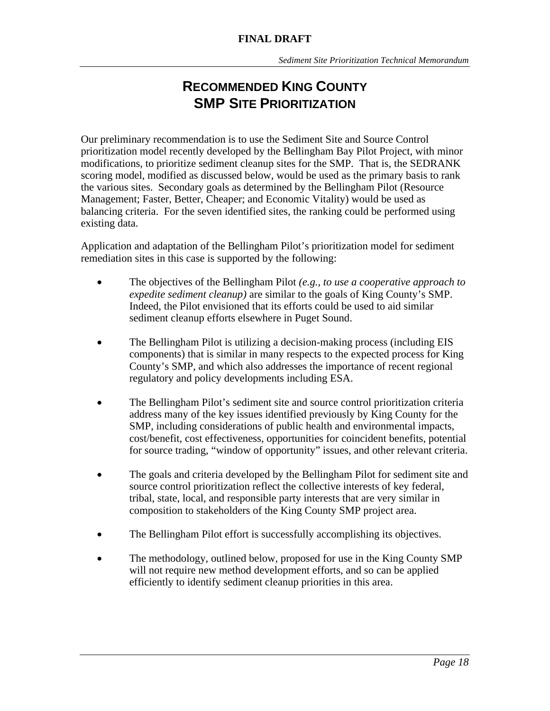# **RECOMMENDED KING COUNTY SMP SITE PRIORITIZATION**

Our preliminary recommendation is to use the Sediment Site and Source Control prioritization model recently developed by the Bellingham Bay Pilot Project, with minor modifications, to prioritize sediment cleanup sites for the SMP. That is, the SEDRANK scoring model, modified as discussed below, would be used as the primary basis to rank the various sites. Secondary goals as determined by the Bellingham Pilot (Resource Management; Faster, Better, Cheaper; and Economic Vitality) would be used as balancing criteria. For the seven identified sites, the ranking could be performed using existing data.

Application and adaptation of the Bellingham Pilot's prioritization model for sediment remediation sites in this case is supported by the following:

- The objectives of the Bellingham Pilot *(e.g., to use a cooperative approach to expedite sediment cleanup)* are similar to the goals of King County's SMP. Indeed, the Pilot envisioned that its efforts could be used to aid similar sediment cleanup efforts elsewhere in Puget Sound.
- The Bellingham Pilot is utilizing a decision-making process (including EIS components) that is similar in many respects to the expected process for King County's SMP, and which also addresses the importance of recent regional regulatory and policy developments including ESA.
- The Bellingham Pilot's sediment site and source control prioritization criteria address many of the key issues identified previously by King County for the SMP, including considerations of public health and environmental impacts, cost/benefit, cost effectiveness, opportunities for coincident benefits, potential for source trading, "window of opportunity" issues, and other relevant criteria.
- The goals and criteria developed by the Bellingham Pilot for sediment site and source control prioritization reflect the collective interests of key federal, tribal, state, local, and responsible party interests that are very similar in composition to stakeholders of the King County SMP project area.
- The Bellingham Pilot effort is successfully accomplishing its objectives.
- The methodology, outlined below, proposed for use in the King County SMP will not require new method development efforts, and so can be applied efficiently to identify sediment cleanup priorities in this area.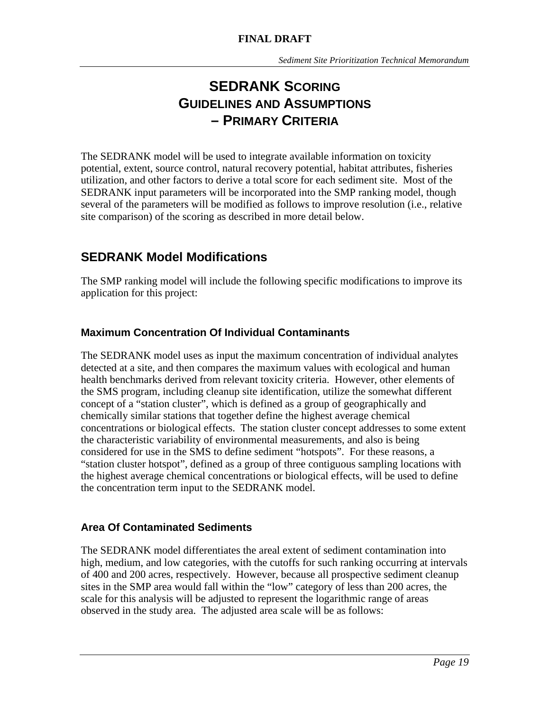# **SEDRANK SCORING GUIDELINES AND ASSUMPTIONS – PRIMARY CRITERIA**

The SEDRANK model will be used to integrate available information on toxicity potential, extent, source control, natural recovery potential, habitat attributes, fisheries utilization, and other factors to derive a total score for each sediment site. Most of the SEDRANK input parameters will be incorporated into the SMP ranking model, though several of the parameters will be modified as follows to improve resolution (i.e., relative site comparison) of the scoring as described in more detail below.

# **SEDRANK Model Modifications**

The SMP ranking model will include the following specific modifications to improve its application for this project:

### **Maximum Concentration Of Individual Contaminants**

The SEDRANK model uses as input the maximum concentration of individual analytes detected at a site, and then compares the maximum values with ecological and human health benchmarks derived from relevant toxicity criteria. However, other elements of the SMS program, including cleanup site identification, utilize the somewhat different concept of a "station cluster", which is defined as a group of geographically and chemically similar stations that together define the highest average chemical concentrations or biological effects. The station cluster concept addresses to some extent the characteristic variability of environmental measurements, and also is being considered for use in the SMS to define sediment "hotspots". For these reasons, a "station cluster hotspot", defined as a group of three contiguous sampling locations with the highest average chemical concentrations or biological effects, will be used to define the concentration term input to the SEDRANK model.

### **Area Of Contaminated Sediments**

The SEDRANK model differentiates the areal extent of sediment contamination into high, medium, and low categories, with the cutoffs for such ranking occurring at intervals of 400 and 200 acres, respectively. However, because all prospective sediment cleanup sites in the SMP area would fall within the "low" category of less than 200 acres, the scale for this analysis will be adjusted to represent the logarithmic range of areas observed in the study area. The adjusted area scale will be as follows: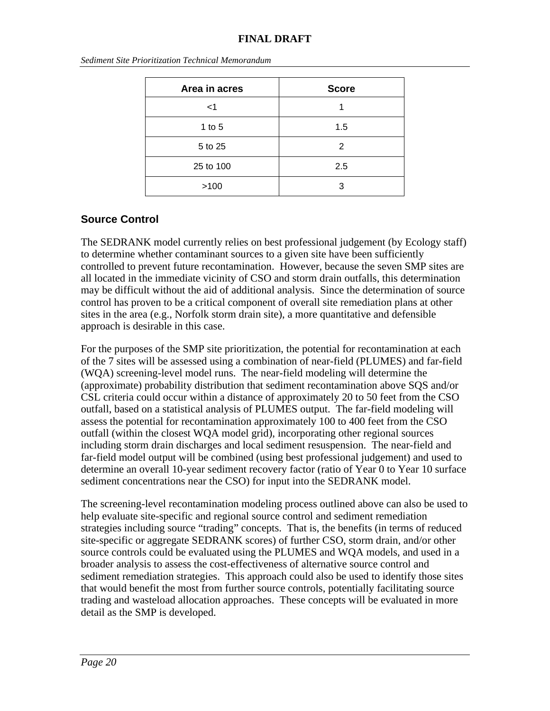| Area in acres | <b>Score</b> |
|---------------|--------------|
| $<$ 1         |              |
| 1 to $5$      | 1.5          |
| 5 to 25       | 2            |
| 25 to 100     | 2.5          |
| >100          | З            |

*Sediment Site Prioritization Technical Memorandum*

#### **Source Control**

The SEDRANK model currently relies on best professional judgement (by Ecology staff) to determine whether contaminant sources to a given site have been sufficiently controlled to prevent future recontamination. However, because the seven SMP sites are all located in the immediate vicinity of CSO and storm drain outfalls, this determination may be difficult without the aid of additional analysis. Since the determination of source control has proven to be a critical component of overall site remediation plans at other sites in the area (e.g., Norfolk storm drain site), a more quantitative and defensible approach is desirable in this case.

For the purposes of the SMP site prioritization, the potential for recontamination at each of the 7 sites will be assessed using a combination of near-field (PLUMES) and far-field (WQA) screening-level model runs. The near-field modeling will determine the (approximate) probability distribution that sediment recontamination above SQS and/or CSL criteria could occur within a distance of approximately 20 to 50 feet from the CSO outfall, based on a statistical analysis of PLUMES output. The far-field modeling will assess the potential for recontamination approximately 100 to 400 feet from the CSO outfall (within the closest WQA model grid), incorporating other regional sources including storm drain discharges and local sediment resuspension. The near-field and far-field model output will be combined (using best professional judgement) and used to determine an overall 10-year sediment recovery factor (ratio of Year 0 to Year 10 surface sediment concentrations near the CSO) for input into the SEDRANK model.

The screening-level recontamination modeling process outlined above can also be used to help evaluate site-specific and regional source control and sediment remediation strategies including source "trading" concepts. That is, the benefits (in terms of reduced site-specific or aggregate SEDRANK scores) of further CSO, storm drain, and/or other source controls could be evaluated using the PLUMES and WQA models, and used in a broader analysis to assess the cost-effectiveness of alternative source control and sediment remediation strategies. This approach could also be used to identify those sites that would benefit the most from further source controls, potentially facilitating source trading and wasteload allocation approaches. These concepts will be evaluated in more detail as the SMP is developed.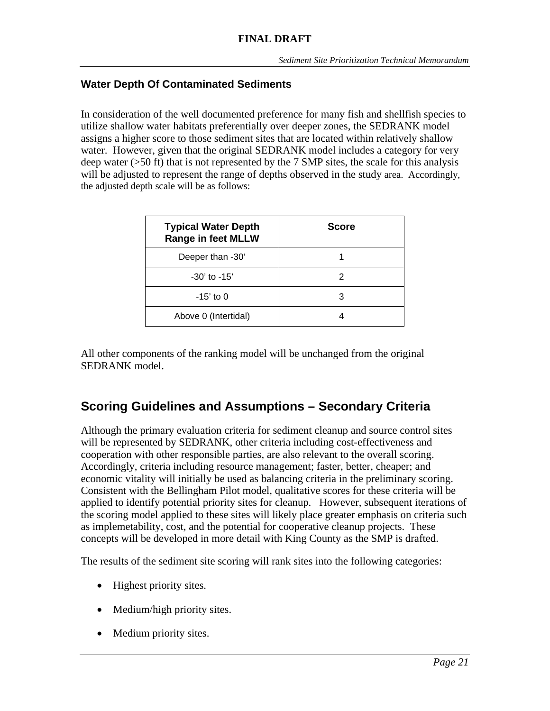#### **Water Depth Of Contaminated Sediments**

In consideration of the well documented preference for many fish and shellfish species to utilize shallow water habitats preferentially over deeper zones, the SEDRANK model assigns a higher score to those sediment sites that are located within relatively shallow water. However, given that the original SEDRANK model includes a category for very deep water (>50 ft) that is not represented by the 7 SMP sites, the scale for this analysis will be adjusted to represent the range of depths observed in the study area. Accordingly, the adjusted depth scale will be as follows:

| <b>Typical Water Depth</b><br><b>Range in feet MLLW</b> | <b>Score</b> |
|---------------------------------------------------------|--------------|
| Deeper than -30'                                        |              |
| $-30'$ to $-15'$                                        |              |
| $-15'$ to 0                                             | 3            |
| Above 0 (Intertidal)                                    |              |

All other components of the ranking model will be unchanged from the original SEDRANK model.

# **Scoring Guidelines and Assumptions – Secondary Criteria**

Although the primary evaluation criteria for sediment cleanup and source control sites will be represented by SEDRANK, other criteria including cost-effectiveness and cooperation with other responsible parties, are also relevant to the overall scoring. Accordingly, criteria including resource management; faster, better, cheaper; and economic vitality will initially be used as balancing criteria in the preliminary scoring. Consistent with the Bellingham Pilot model, qualitative scores for these criteria will be applied to identify potential priority sites for cleanup. However, subsequent iterations of the scoring model applied to these sites will likely place greater emphasis on criteria such as implemetability, cost, and the potential for cooperative cleanup projects. These concepts will be developed in more detail with King County as the SMP is drafted.

The results of the sediment site scoring will rank sites into the following categories:

- Highest priority sites.
- Medium/high priority sites.
- Medium priority sites.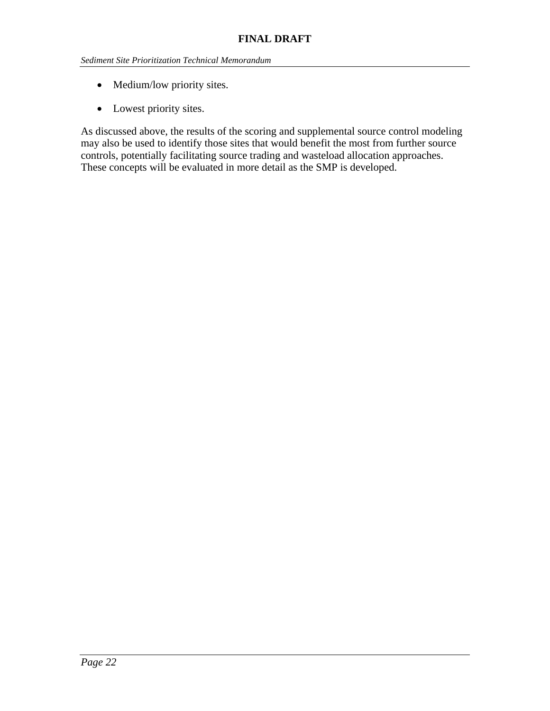- Medium/low priority sites.
- Lowest priority sites.

As discussed above, the results of the scoring and supplemental source control modeling may also be used to identify those sites that would benefit the most from further source controls, potentially facilitating source trading and wasteload allocation approaches. These concepts will be evaluated in more detail as the SMP is developed.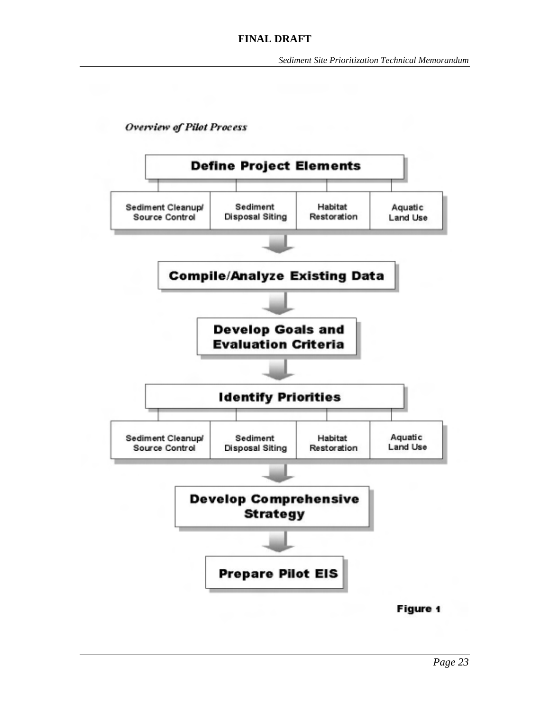**Overview of Pilot Process** 

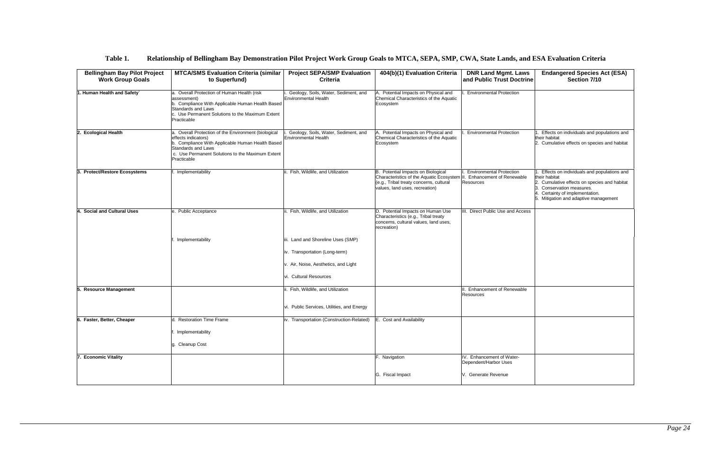### **Table 1. Relationship of Bellingham Bay Demonstration Pilot Project Work Group Goals to MTCA, SEPA, SMP, CWA, State Lands, and ESA Evaluation Criteria**

| <b>Bellingham Bay Pilot Project</b><br><b>Work Group Goals</b> | <b>MTCA/SMS Evaluation Criteria (similar</b><br>to Superfund)                                                                                                                                                            | <b>Project SEPA/SMP Evaluation</b><br><b>Criteria</b>                                                                                  | 404(b)(1) Evaluation Criteria                                                                                                                                  | <b>DNR Land Mgmt. Laws</b><br>and Public Trust Doctrine                                | <b>Endangered Species Act (ESA)</b><br>Section 7/10                                                                                                                                                               |
|----------------------------------------------------------------|--------------------------------------------------------------------------------------------------------------------------------------------------------------------------------------------------------------------------|----------------------------------------------------------------------------------------------------------------------------------------|----------------------------------------------------------------------------------------------------------------------------------------------------------------|----------------------------------------------------------------------------------------|-------------------------------------------------------------------------------------------------------------------------------------------------------------------------------------------------------------------|
| 1. Human Health and Safety`                                    | a. Overall Protection of Human Health (risk<br>assessment)<br>b. Compliance With Applicable Human Health Based<br>Standards and Laws<br>c. Use Permanent Solutions to the Maximum Extent<br>Practicable                  | Geology, Soils, Water, Sediment, and<br>Environmental Health                                                                           | Potential Impacts on Physical and<br>Chemical Characteristics of the Aquatic<br>Ecosystem                                                                      | <b>Environmental Protection</b>                                                        |                                                                                                                                                                                                                   |
| <b>Ecological Health</b><br>2.                                 | a. Overall Protection of the Environment (biological<br>effects indicators)<br>b. Compliance With Applicable Human Health Based<br>Standards and Laws<br>c. Use Permanent Solutions to the Maximum Extent<br>Practicable | Geology, Soils, Water, Sediment, and<br><b>Environmental Health</b>                                                                    | Potential Impacts on Physical and<br>Chemical Characteristics of the Aquatic<br>Ecosystem                                                                      | <b>Environmental Protection</b>                                                        | Effects on individuals and populations and<br>their habitat<br>2. Cumulative effects on species and habitat                                                                                                       |
| 3. Protect/Restore Ecosystems                                  | Implementability                                                                                                                                                                                                         | Fish, Wildlife, and Utilization                                                                                                        | B. Potential Impacts on Biological<br>Characteristics of the Aquatic Ecosystem II<br>(e.g., Tribal treaty concerns, cultural<br>values, land uses, recreation) | <b>Environmental Protection</b><br><b>Enhancement of Renewable</b><br><b>Resources</b> | Effects on individuals and populations and<br>their habitat<br>2. Cumulative effects on species and habitat<br>3. Conservation measures.<br>Certainty of implementation.<br>5. Mitigation and adaptive management |
| 4. Social and Cultural Uses                                    | e. Public Acceptance                                                                                                                                                                                                     | ii. Fish, Wildlife, and Utilization                                                                                                    | D. Potential Impacts on Human Use<br>Characteristics (e.g., Tribal treaty<br>concerns, cultural values, land uses,<br>recreation)                              | III. Direct Public Use and Access                                                      |                                                                                                                                                                                                                   |
|                                                                | Implementability                                                                                                                                                                                                         | iii. Land and Shoreline Uses (SMP)<br>iv. Transportation (Long-term)<br>v. Air, Noise, Aesthetics, and Light<br>vi. Cultural Resources |                                                                                                                                                                |                                                                                        |                                                                                                                                                                                                                   |
| 5. Resource Management                                         |                                                                                                                                                                                                                          | Fish, Wildlife, and Utilization<br>vi. Public Services, Utilities, and Energy                                                          |                                                                                                                                                                | Enhancement of Renewable<br>Resources                                                  |                                                                                                                                                                                                                   |
| 6. Faster, Better, Cheaper                                     | d. Restoration Time Frame<br>Implementability<br>g. Cleanup Cost                                                                                                                                                         | iv. Transportation (Construction-Related)                                                                                              | E. Cost and Availability                                                                                                                                       |                                                                                        |                                                                                                                                                                                                                   |
| <b>Economic Vitality</b>                                       |                                                                                                                                                                                                                          |                                                                                                                                        | F. Navigation<br>G. Fiscal Impact                                                                                                                              | IV. Enhancement of Water-<br>Dependent/Harbor Uses<br>V. Generate Revenue              |                                                                                                                                                                                                                   |
|                                                                |                                                                                                                                                                                                                          |                                                                                                                                        |                                                                                                                                                                |                                                                                        |                                                                                                                                                                                                                   |